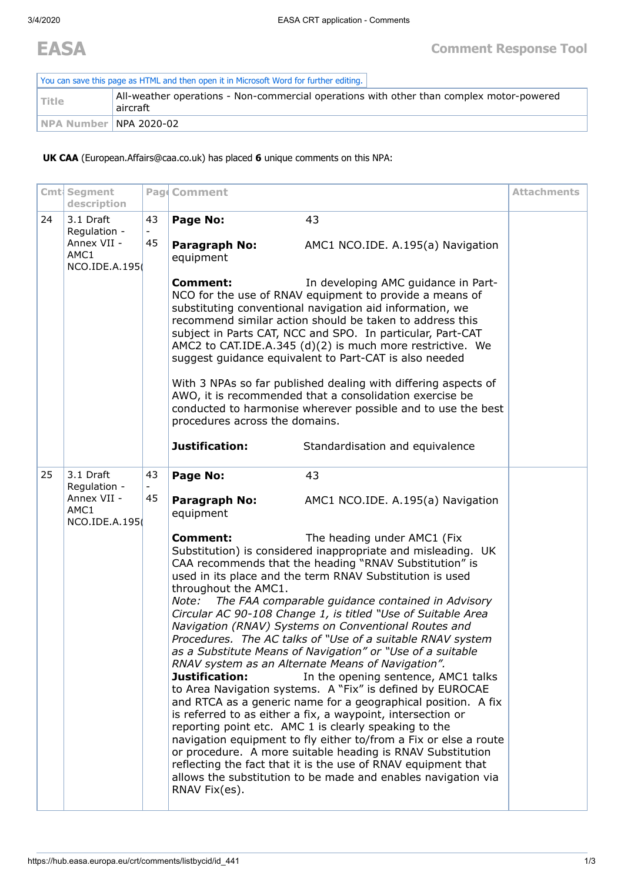| You can save this page as HTML and then open it in Microsoft Word for further editing. |                                                                                                      |  |  |  |  |
|----------------------------------------------------------------------------------------|------------------------------------------------------------------------------------------------------|--|--|--|--|
| l Title                                                                                | All-weather operations - Non-commercial operations with other than complex motor-powered<br>aircraft |  |  |  |  |
| I NPA Number   NPA 2020-02                                                             |                                                                                                      |  |  |  |  |

**UK CAA** (European.Affairs@caa.co.uk) has placed **6** unique comments on this NPA:

|    | Cmt Segment<br>description                                        |          | Pag Comment                                                                                                                                                                                                                                                                                                                                                                                                                                                                                                                                                                                                                                                                                                                                                                                                                                                                                                                                                                                                                                                                                                                                                                                                 |                                   | <b>Attachments</b> |
|----|-------------------------------------------------------------------|----------|-------------------------------------------------------------------------------------------------------------------------------------------------------------------------------------------------------------------------------------------------------------------------------------------------------------------------------------------------------------------------------------------------------------------------------------------------------------------------------------------------------------------------------------------------------------------------------------------------------------------------------------------------------------------------------------------------------------------------------------------------------------------------------------------------------------------------------------------------------------------------------------------------------------------------------------------------------------------------------------------------------------------------------------------------------------------------------------------------------------------------------------------------------------------------------------------------------------|-----------------------------------|--------------------|
| 24 | 3.1 Draft<br>Regulation -                                         | 43       | Page No:                                                                                                                                                                                                                                                                                                                                                                                                                                                                                                                                                                                                                                                                                                                                                                                                                                                                                                                                                                                                                                                                                                                                                                                                    | 43                                |                    |
|    | Annex VII -<br>AMC1<br>NCO.IDE.A.195                              | 45       | Paragraph No:<br>equipment                                                                                                                                                                                                                                                                                                                                                                                                                                                                                                                                                                                                                                                                                                                                                                                                                                                                                                                                                                                                                                                                                                                                                                                  | AMC1 NCO.IDE. A.195(a) Navigation |                    |
|    |                                                                   |          | <b>Comment:</b><br>NCO for the use of RNAV equipment to provide a means of<br>substituting conventional navigation aid information, we<br>recommend similar action should be taken to address this<br>subject in Parts CAT, NCC and SPO. In particular, Part-CAT<br>AMC2 to CAT.IDE.A.345 (d)(2) is much more restrictive. We<br>suggest guidance equivalent to Part-CAT is also needed                                                                                                                                                                                                                                                                                                                                                                                                                                                                                                                                                                                                                                                                                                                                                                                                                     |                                   |                    |
|    |                                                                   |          | With 3 NPAs so far published dealing with differing aspects of<br>AWO, it is recommended that a consolidation exercise be<br>conducted to harmonise wherever possible and to use the best<br>procedures across the domains.                                                                                                                                                                                                                                                                                                                                                                                                                                                                                                                                                                                                                                                                                                                                                                                                                                                                                                                                                                                 |                                   |                    |
|    |                                                                   |          | Justification:                                                                                                                                                                                                                                                                                                                                                                                                                                                                                                                                                                                                                                                                                                                                                                                                                                                                                                                                                                                                                                                                                                                                                                                              | Standardisation and equivalence   |                    |
| 25 | 3.1 Draft<br>Regulation -<br>Annex VII -<br>AMC1<br>NCO.IDE.A.195 | 43<br>45 | Page No:<br>Paragraph No:<br>equipment<br><b>Comment:</b><br>Substitution) is considered inappropriate and misleading. UK<br>CAA recommends that the heading "RNAV Substitution" is<br>used in its place and the term RNAV Substitution is used<br>throughout the AMC1.<br>Note:<br>The FAA comparable guidance contained in Advisory<br>Circular AC 90-108 Change 1, is titled "Use of Suitable Area<br>Navigation (RNAV) Systems on Conventional Routes and<br>Procedures. The AC talks of "Use of a suitable RNAV system<br>as a Substitute Means of Navigation" or "Use of a suitable<br>RNAV system as an Alternate Means of Navigation".<br>Justification:<br>to Area Navigation systems. A "Fix" is defined by EUROCAE<br>and RTCA as a generic name for a geographical position. A fix<br>is referred to as either a fix, a waypoint, intersection or<br>reporting point etc. AMC 1 is clearly speaking to the<br>navigation equipment to fly either to/from a Fix or else a route<br>or procedure. A more suitable heading is RNAV Substitution<br>reflecting the fact that it is the use of RNAV equipment that<br>allows the substitution to be made and enables navigation via<br>RNAV Fix(es). |                                   |                    |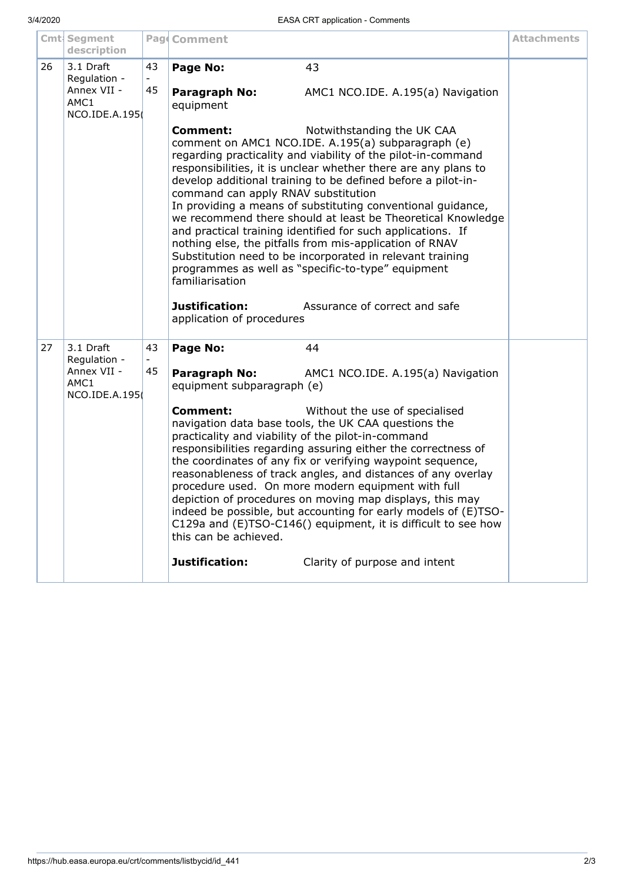|    | Cmt Segment<br>description           |                                                                                                                                                                                                                                                                                                                                                                                                                                                                                                                                                                                                                                              | Pag Comment                                                                                                                                                                                                                                                                                                                                                                                                                                                                                                                                                                                                                                                                                                                                                                                                                |                                   | <b>Attachments</b> |
|----|--------------------------------------|----------------------------------------------------------------------------------------------------------------------------------------------------------------------------------------------------------------------------------------------------------------------------------------------------------------------------------------------------------------------------------------------------------------------------------------------------------------------------------------------------------------------------------------------------------------------------------------------------------------------------------------------|----------------------------------------------------------------------------------------------------------------------------------------------------------------------------------------------------------------------------------------------------------------------------------------------------------------------------------------------------------------------------------------------------------------------------------------------------------------------------------------------------------------------------------------------------------------------------------------------------------------------------------------------------------------------------------------------------------------------------------------------------------------------------------------------------------------------------|-----------------------------------|--------------------|
| 26 | 3.1 Draft<br>Regulation -            | 43                                                                                                                                                                                                                                                                                                                                                                                                                                                                                                                                                                                                                                           | Page No:                                                                                                                                                                                                                                                                                                                                                                                                                                                                                                                                                                                                                                                                                                                                                                                                                   | 43                                |                    |
|    | Annex VII -<br>AMC1<br>NCO.IDE.A.195 | 45                                                                                                                                                                                                                                                                                                                                                                                                                                                                                                                                                                                                                                           | Paragraph No:<br>equipment                                                                                                                                                                                                                                                                                                                                                                                                                                                                                                                                                                                                                                                                                                                                                                                                 | AMC1 NCO.IDE. A.195(a) Navigation |                    |
|    |                                      |                                                                                                                                                                                                                                                                                                                                                                                                                                                                                                                                                                                                                                              | <b>Comment:</b><br>Notwithstanding the UK CAA<br>comment on AMC1 NCO.IDE. A.195(a) subparagraph (e)<br>regarding practicality and viability of the pilot-in-command<br>responsibilities, it is unclear whether there are any plans to<br>develop additional training to be defined before a pilot-in-<br>command can apply RNAV substitution<br>In providing a means of substituting conventional guidance,<br>we recommend there should at least be Theoretical Knowledge<br>and practical training identified for such applications. If<br>nothing else, the pitfalls from mis-application of RNAV<br>Substitution need to be incorporated in relevant training<br>programmes as well as "specific-to-type" equipment<br>familiarisation<br>Justification:<br>Assurance of correct and safe<br>application of procedures |                                   |                    |
| 27 | 3.1 Draft<br>Regulation -            | 43                                                                                                                                                                                                                                                                                                                                                                                                                                                                                                                                                                                                                                           | Page No:                                                                                                                                                                                                                                                                                                                                                                                                                                                                                                                                                                                                                                                                                                                                                                                                                   | 44                                |                    |
|    | Annex VII -<br>AMC1<br>NCO.IDE.A.195 | 45                                                                                                                                                                                                                                                                                                                                                                                                                                                                                                                                                                                                                                           | Paragraph No:<br>equipment subparagraph (e)                                                                                                                                                                                                                                                                                                                                                                                                                                                                                                                                                                                                                                                                                                                                                                                | AMC1 NCO.IDE. A.195(a) Navigation |                    |
|    |                                      | <b>Comment:</b><br>Without the use of specialised<br>navigation data base tools, the UK CAA questions the<br>practicality and viability of the pilot-in-command<br>responsibilities regarding assuring either the correctness of<br>the coordinates of any fix or verifying waypoint sequence,<br>reasonableness of track angles, and distances of any overlay<br>procedure used. On more modern equipment with full<br>depiction of procedures on moving map displays, this may<br>indeed be possible, but accounting for early models of (E)TSO-<br>C129a and (E)TSO-C146() equipment, it is difficult to see how<br>this can be achieved. |                                                                                                                                                                                                                                                                                                                                                                                                                                                                                                                                                                                                                                                                                                                                                                                                                            |                                   |                    |
|    |                                      |                                                                                                                                                                                                                                                                                                                                                                                                                                                                                                                                                                                                                                              | Justification:                                                                                                                                                                                                                                                                                                                                                                                                                                                                                                                                                                                                                                                                                                                                                                                                             | Clarity of purpose and intent     |                    |